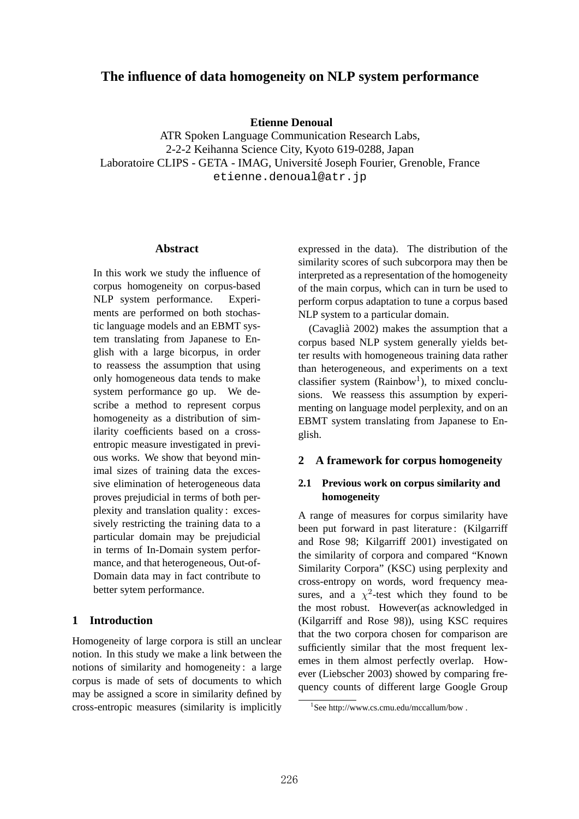# **The influence of data homogeneity on NLP system performance**

**Etienne Denoual**

ATR Spoken Language Communication Research Labs, 2-2-2 Keihanna Science City, Kyoto 619-0288, Japan Laboratoire CLIPS - GETA - IMAG, Université Joseph Fourier, Grenoble, France etienne.denoual@atr.jp

#### **Abstract**

In this work we study the influence of corpus homogeneity on corpus-based NLP system performance. Experiments are performed on both stochastic language models and an EBMT system translating from Japanese to English with a large bicorpus, in order to reassess the assumption that using only homogeneous data tends to make system performance go up. We describe a method to represent corpus homogeneity as a distribution of similarity coefficients based on a crossentropic measure investigated in previous works. We show that beyond minimal sizes of training data the excessive elimination of heterogeneous data proves prejudicial in terms of both perplexity and translation quality : excessively restricting the training data to a particular domain may be prejudicial in terms of In-Domain system performance, and that heterogeneous, Out-of-Domain data may in fact contribute to better sytem performance.

### **1 Introduction**

Homogeneity of large corpora is still an unclear notion. In this study we make a link between the notions of similarity and homogeneity : a large corpus is made of sets of documents to which may be assigned a score in similarity defined by cross-entropic measures (similarity is implicitly

expressed in the data). The distribution of the similarity scores of such subcorpora may then be interpreted as a representation of the homogeneity of the main corpus, which can in turn be used to perform corpus adaptation to tune a corpus based NLP system to a particular domain.

(Cavaglià 2002) makes the assumption that a corpus based NLP system generally yields better results with homogeneous training data rather than heterogeneous, and experiments on a text classifier system  $(Rainbow<sup>1</sup>)$ , to mixed conclusions. We reassess this assumption by experimenting on language model perplexity, and on an EBMT system translating from Japanese to English.

### **2 A framework for corpus homogeneity**

## **2.1 Previous work on corpus similarity and homogeneity**

A range of measures for corpus similarity have been put forward in past literature : (Kilgarriff and Rose 98; Kilgarriff 2001) investigated on the similarity of corpora and compared "Known Similarity Corpora" (KSC) using perplexity and cross-entropy on words, word frequency measures, and a  $\chi^2$ -test which they found to be the most robust. However(as acknowledged in (Kilgarriff and Rose 98)), using KSC requires that the two corpora chosen for comparison are sufficiently similar that the most frequent lexemes in them almost perfectly overlap. However (Liebscher 2003) showed by comparing frequency counts of different large Google Group

<sup>1</sup> See http://www.cs.cmu.edu/mccallum/bow .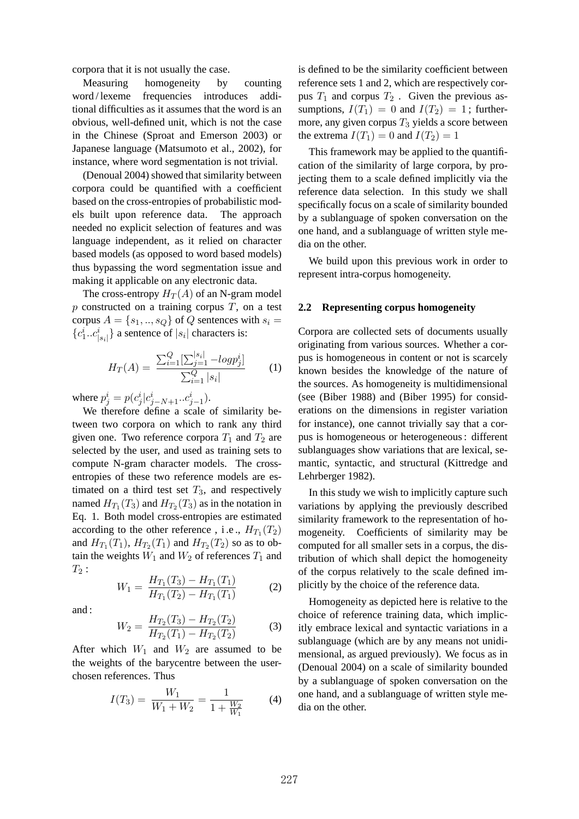corpora that it is not usually the case.

Measuring homogeneity by counting word / lexeme frequencies introduces additional difficulties as it assumes that the word is an obvious, well-defined unit, which is not the case in the Chinese (Sproat and Emerson 2003) or Japanese language (Matsumoto et al., 2002), for instance, where word segmentation is not trivial.

(Denoual 2004) showed that similarity between corpora could be quantified with a coefficient based on the cross-entropies of probabilistic models built upon reference data. The approach needed no explicit selection of features and was language independent, as it relied on character based models (as opposed to word based models) thus bypassing the word segmentation issue and making it applicable on any electronic data.

The cross-entropy  $H_T(A)$  of an N-gram model  $p$  constructed on a training corpus  $T$ , on a test corpus  $A = \{s_1, ..., s_Q\}$  of Q sentences with  $s_i =$  ${c_1^i...c_{|s_i|}^i}$  a sentence of  $|s_i|$  characters is:

$$
H_T(A) = \frac{\sum_{i=1}^{Q} \left[\sum_{j=1}^{|s_i|} - log p_j^i\right]}{\sum_{i=1}^{Q} |s_i|}
$$
 (1)

where  $p_j^i = p(c_j^i | c_{j-N+1}^i ... c_{j-1}^i)$ .

We therefore define a scale of similarity between two corpora on which to rank any third given one. Two reference corpora  $T_1$  and  $T_2$  are selected by the user, and used as training sets to compute N-gram character models. The crossentropies of these two reference models are estimated on a third test set  $T_3$ , and respectively named  $H_{T_1}(T_3)$  and  $H_{T_2}(T_3)$  as in the notation in Eq. 1. Both model cross-entropies are estimated according to the other reference, i.e.,  $H_{T_1}(T_2)$ and  $H_{T_1}(T_1)$ ,  $H_{T_2}(T_1)$  and  $H_{T_2}(T_2)$  so as to obtain the weights  $W_1$  and  $W_2$  of references  $T_1$  and  $T_2$ :

$$
W_1 = \frac{H_{T_1}(T_3) - H_{T_1}(T_1)}{H_{T_1}(T_2) - H_{T_1}(T_1)}\tag{2}
$$

and :

$$
W_2 = \frac{H_{T_2}(T_3) - H_{T_2}(T_2)}{H_{T_2}(T_1) - H_{T_2}(T_2)}\tag{3}
$$

After which  $W_1$  and  $W_2$  are assumed to be the weights of the barycentre between the userchosen references. Thus

$$
I(T_3) = \frac{W_1}{W_1 + W_2} = \frac{1}{1 + \frac{W_2}{W_1}}
$$
 (4)

is defined to be the similarity coefficient between reference sets 1 and 2, which are respectively corpus  $T_1$  and corpus  $T_2$ . Given the previous assumptions,  $I(T_1) = 0$  and  $I(T_2) = 1$ ; furthermore, any given corpus  $T_3$  yields a score between the extrema  $I(T_1) = 0$  and  $I(T_2) = 1$ 

This framework may be applied to the quantification of the similarity of large corpora, by projecting them to a scale defined implicitly via the reference data selection. In this study we shall specifically focus on a scale of similarity bounded by a sublanguage of spoken conversation on the one hand, and a sublanguage of written style media on the other.

We build upon this previous work in order to represent intra-corpus homogeneity.

#### **2.2 Representing corpus homogeneity**

Corpora are collected sets of documents usually originating from various sources. Whether a corpus is homogeneous in content or not is scarcely known besides the knowledge of the nature of the sources. As homogeneity is multidimensional (see (Biber 1988) and (Biber 1995) for considerations on the dimensions in register variation for instance), one cannot trivially say that a corpus is homogeneous or heterogeneous : different sublanguages show variations that are lexical, semantic, syntactic, and structural (Kittredge and Lehrberger 1982).

In this study we wish to implicitly capture such variations by applying the previously described similarity framework to the representation of homogeneity. Coefficients of similarity may be computed for all smaller sets in a corpus, the distribution of which shall depict the homogeneity of the corpus relatively to the scale defined implicitly by the choice of the reference data.

Homogeneity as depicted here is relative to the choice of reference training data, which implicitly embrace lexical and syntactic variations in a sublanguage (which are by any means not unidimensional, as argued previously). We focus as in (Denoual 2004) on a scale of similarity bounded by a sublanguage of spoken conversation on the one hand, and a sublanguage of written style media on the other.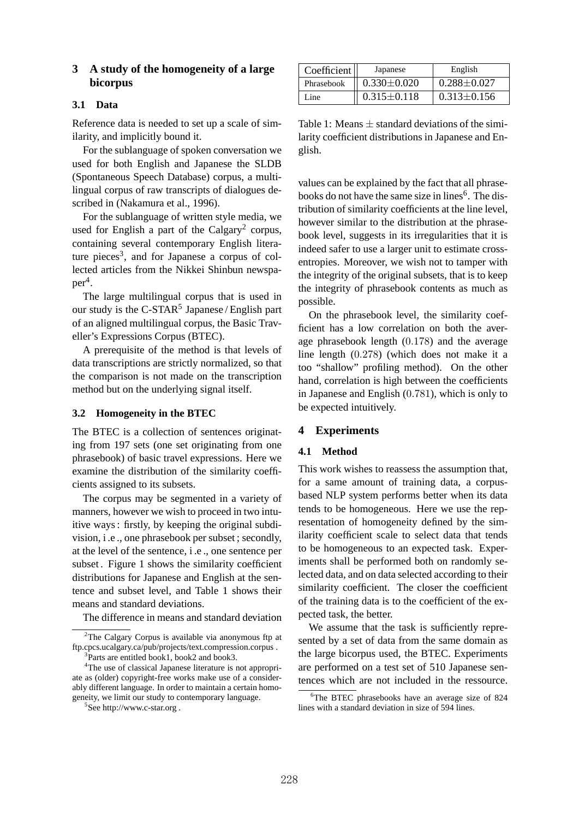## **3 A study of the homogeneity of a large bicorpus**

### **3.1 Data**

Reference data is needed to set up a scale of similarity, and implicitly bound it.

For the sublanguage of spoken conversation we used for both English and Japanese the SLDB (Spontaneous Speech Database) corpus, a multilingual corpus of raw transcripts of dialogues described in (Nakamura et al., 1996).

For the sublanguage of written style media, we used for English a part of the Calgary<sup>2</sup> corpus, containing several contemporary English literature pieces<sup>3</sup>, and for Japanese a corpus of collected articles from the Nikkei Shinbun newspa $per<sup>4</sup>$ .

The large multilingual corpus that is used in our study is the C-STAR<sup>5</sup> Japanese / English part of an aligned multilingual corpus, the Basic Traveller's Expressions Corpus (BTEC).

A prerequisite of the method is that levels of data transcriptions are strictly normalized, so that the comparison is not made on the transcription method but on the underlying signal itself.

#### **3.2 Homogeneity in the BTEC**

The BTEC is a collection of sentences originating from 197 sets (one set originating from one phrasebook) of basic travel expressions. Here we examine the distribution of the similarity coefficients assigned to its subsets.

The corpus may be segmented in a variety of manners, however we wish to proceed in two intuitive ways : firstly, by keeping the original subdivision, i .e ., one phrasebook per subset ; secondly, at the level of the sentence, i .e ., one sentence per subset . Figure 1 shows the similarity coefficient distributions for Japanese and English at the sentence and subset level, and Table 1 shows their means and standard deviations.

The difference in means and standard deviation

| Coefficient <sub>l</sub> | Japanese          | English           |
|--------------------------|-------------------|-------------------|
| Phrasebook               | $0.330 \pm 0.020$ | $0.288 \pm 0.027$ |
| Line                     | $0.315 \pm 0.118$ | $0.313 \pm 0.156$ |

Table 1: Means  $\pm$  standard deviations of the similarity coefficient distributions in Japanese and English.

values can be explained by the fact that all phrasebooks do not have the same size in lines<sup>6</sup>. The distribution of similarity coefficients at the line level, however similar to the distribution at the phrasebook level, suggests in its irregularities that it is indeed safer to use a larger unit to estimate crossentropies. Moreover, we wish not to tamper with the integrity of the original subsets, that is to keep the integrity of phrasebook contents as much as possible.

On the phrasebook level, the similarity coefficient has a low correlation on both the average phrasebook length (0.178) and the average line length (0.278) (which does not make it a too "shallow" profiling method). On the other hand, correlation is high between the coefficients in Japanese and English (0.781), which is only to be expected intuitively.

#### **4 Experiments**

#### **4.1 Method**

This work wishes to reassess the assumption that, for a same amount of training data, a corpusbased NLP system performs better when its data tends to be homogeneous. Here we use the representation of homogeneity defined by the similarity coefficient scale to select data that tends to be homogeneous to an expected task. Experiments shall be performed both on randomly selected data, and on data selected according to their similarity coefficient. The closer the coefficient of the training data is to the coefficient of the expected task, the better.

We assume that the task is sufficiently represented by a set of data from the same domain as the large bicorpus used, the BTEC. Experiments are performed on a test set of 510 Japanese sentences which are not included in the ressource.

<sup>2</sup>The Calgary Corpus is available via anonymous ftp at ftp.cpcs.ucalgary.ca/pub/projects/text.compression.corpus . 3 Parts are entitled book1, book2 and book3.

<sup>4</sup>The use of classical Japanese literature is not appropriate as (older) copyright-free works make use of a considerably different language. In order to maintain a certain homogeneity, we limit our study to contemporary language.

<sup>5</sup> See http://www.c-star.org .

<sup>6</sup>The BTEC phrasebooks have an average size of 824 lines with a standard deviation in size of 594 lines.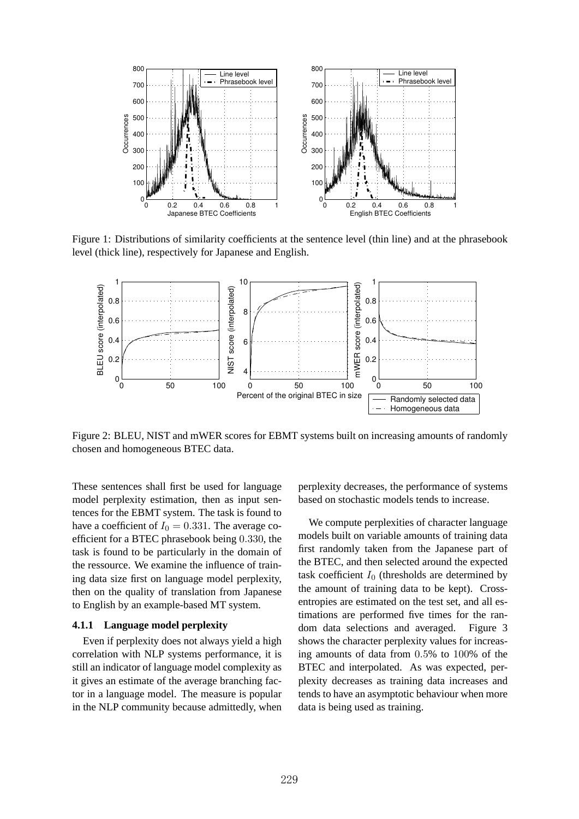

Figure 1: Distributions of similarity coefficients at the sentence level (thin line) and at the phrasebook level (thick line), respectively for Japanese and English.



Figure 2: BLEU, NIST and mWER scores for EBMT systems built on increasing amounts of randomly chosen and homogeneous BTEC data.

These sentences shall first be used for language model perplexity estimation, then as input sentences for the EBMT system. The task is found to have a coefficient of  $I_0 = 0.331$ . The average coefficient for a BTEC phrasebook being 0.330, the task is found to be particularly in the domain of the ressource. We examine the influence of training data size first on language model perplexity, then on the quality of translation from Japanese to English by an example-based MT system.

### **4.1.1 Language model perplexity**

Even if perplexity does not always yield a high correlation with NLP systems performance, it is still an indicator of language model complexity as it gives an estimate of the average branching factor in a language model. The measure is popular in the NLP community because admittedly, when perplexity decreases, the performance of systems based on stochastic models tends to increase.

We compute perplexities of character language models built on variable amounts of training data first randomly taken from the Japanese part of the BTEC, and then selected around the expected task coefficient  $I_0$  (thresholds are determined by the amount of training data to be kept). Crossentropies are estimated on the test set, and all estimations are performed five times for the random data selections and averaged. Figure 3 shows the character perplexity values for increasing amounts of data from 0.5% to 100% of the BTEC and interpolated. As was expected, perplexity decreases as training data increases and tends to have an asymptotic behaviour when more data is being used as training.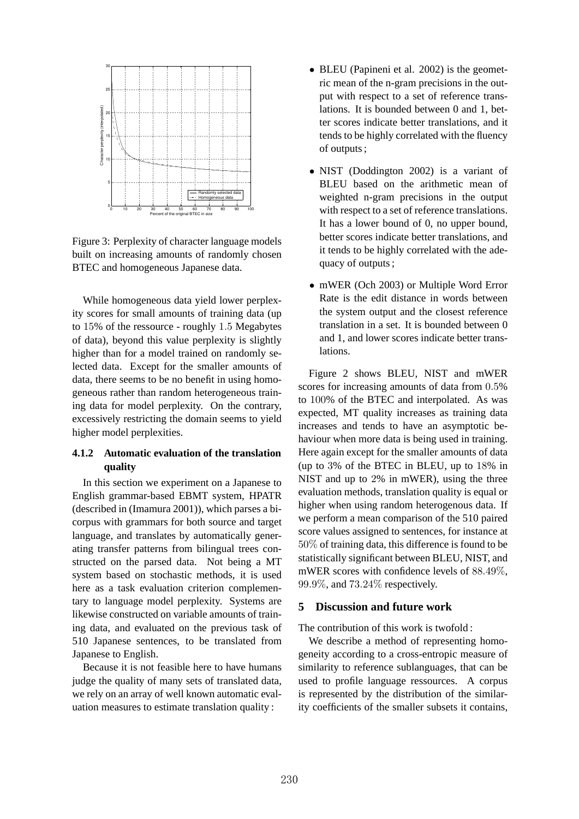

Figure 3: Perplexity of character language models built on increasing amounts of randomly chosen BTEC and homogeneous Japanese data.

While homogeneous data yield lower perplexity scores for small amounts of training data (up to 15% of the ressource - roughly 1.5 Megabytes of data), beyond this value perplexity is slightly higher than for a model trained on randomly selected data. Except for the smaller amounts of data, there seems to be no benefit in using homogeneous rather than random heterogeneous training data for model perplexity. On the contrary, excessively restricting the domain seems to yield higher model perplexities.

# **4.1.2 Automatic evaluation of the translation quality**

In this section we experiment on a Japanese to English grammar-based EBMT system, HPATR (described in (Imamura 2001)), which parses a bicorpus with grammars for both source and target language, and translates by automatically generating transfer patterns from bilingual trees constructed on the parsed data. Not being a MT system based on stochastic methods, it is used here as a task evaluation criterion complementary to language model perplexity. Systems are likewise constructed on variable amounts of training data, and evaluated on the previous task of 510 Japanese sentences, to be translated from Japanese to English.

Because it is not feasible here to have humans judge the quality of many sets of translated data, we rely on an array of well known automatic evaluation measures to estimate translation quality :

- BLEU (Papineni et al. 2002) is the geometric mean of the n-gram precisions in the output with respect to a set of reference translations. It is bounded between 0 and 1, better scores indicate better translations, and it tends to be highly correlated with the fluency of outputs ;
- NIST (Doddington 2002) is a variant of BLEU based on the arithmetic mean of weighted n-gram precisions in the output with respect to a set of reference translations. It has a lower bound of 0, no upper bound, better scores indicate better translations, and it tends to be highly correlated with the adequacy of outputs ;
- mWER (Och 2003) or Multiple Word Error Rate is the edit distance in words between the system output and the closest reference translation in a set. It is bounded between 0 and 1, and lower scores indicate better translations.

Figure 2 shows BLEU, NIST and mWER scores for increasing amounts of data from 0.5% to 100% of the BTEC and interpolated. As was expected, MT quality increases as training data increases and tends to have an asymptotic behaviour when more data is being used in training. Here again except for the smaller amounts of data (up to 3% of the BTEC in BLEU, up to 18% in NIST and up to 2% in mWER), using the three evaluation methods, translation quality is equal or higher when using random heterogenous data. If we perform a mean comparison of the 510 paired score values assigned to sentences, for instance at 50% of training data, this difference is found to be statistically significant between BLEU, NIST, and mWER scores with confidence levels of 88.49%, 99.9%, and 73.24% respectively.

### **5 Discussion and future work**

The contribution of this work is twofold :

We describe a method of representing homogeneity according to a cross-entropic measure of similarity to reference sublanguages, that can be used to profile language ressources. A corpus is represented by the distribution of the similarity coefficients of the smaller subsets it contains,